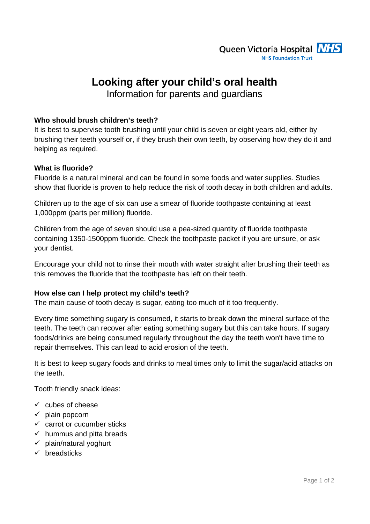

# **Looking after your child's oral health**

Information for parents and guardians

# **Who should brush children's teeth?**

It is best to supervise tooth brushing until your child is seven or eight years old, either by brushing their teeth yourself or, if they brush their own teeth, by observing how they do it and helping as required.

# **What is fluoride?**

Fluoride is a natural mineral and can be found in some foods and water supplies. Studies show that fluoride is proven to help reduce the risk of tooth decay in both children and adults.

Children up to the age of six can use a smear of fluoride toothpaste containing at least 1,000ppm (parts per million) fluoride.

Children from the age of seven should use a pea-sized quantity of fluoride toothpaste containing 1350-1500ppm fluoride. Check the toothpaste packet if you are unsure, or ask your dentist.

Encourage your child not to rinse their mouth with water straight after brushing their teeth as this removes the fluoride that the toothpaste has left on their teeth.

# **How else can I help protect my child's teeth?**

The main cause of tooth decay is sugar, eating too much of it too frequently.

Every time something sugary is consumed, it starts to break down the mineral surface of the teeth. The teeth can recover after eating something sugary but this can take hours. If sugary foods/drinks are being consumed regularly throughout the day the teeth won't have time to repair themselves. This can lead to acid erosion of the teeth.

It is best to keep sugary foods and drinks to meal times only to limit the sugar/acid attacks on the teeth.

Tooth friendly snack ideas:

- $\checkmark$  cubes of cheese
- $\checkmark$  plain popcorn
- $\checkmark$  carrot or cucumber sticks
- $\checkmark$  hummus and pitta breads
- $\checkmark$  plain/natural yoghurt
- $\checkmark$  breadsticks